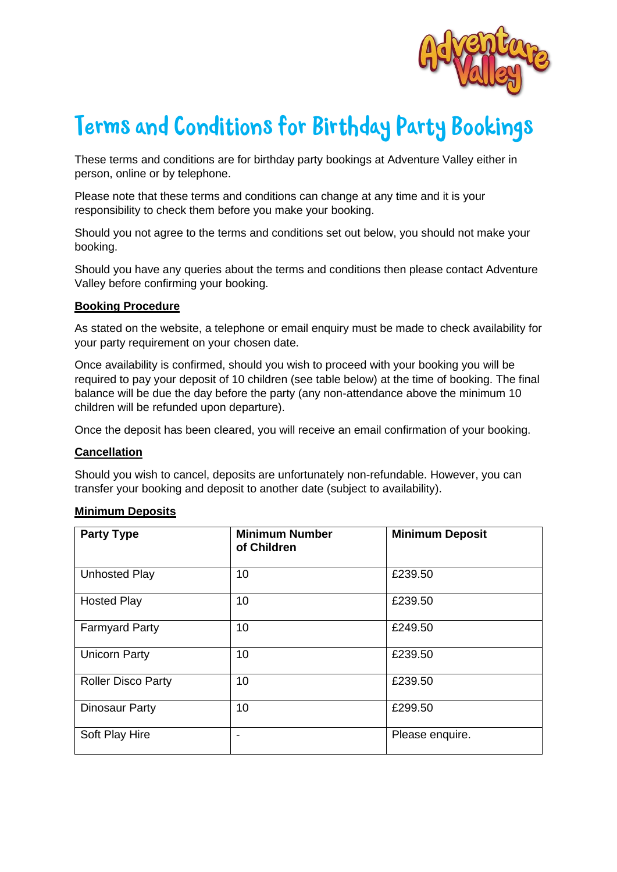

# Terms and Conditions for Birthday Party Bookings

These terms and conditions are for birthday party bookings at Adventure Valley either in person, online or by telephone.

Please note that these terms and conditions can change at any time and it is your responsibility to check them before you make your booking.

Should you not agree to the terms and conditions set out below, you should not make your booking.

Should you have any queries about the terms and conditions then please contact Adventure Valley before confirming your booking.

### **Booking Procedure**

As stated on the website, a telephone or email enquiry must be made to check availability for your party requirement on your chosen date.

Once availability is confirmed, should you wish to proceed with your booking you will be required to pay your deposit of 10 children (see table below) at the time of booking. The final balance will be due the day before the party (any non-attendance above the minimum 10 children will be refunded upon departure).

Once the deposit has been cleared, you will receive an email confirmation of your booking.

### **Cancellation**

Should you wish to cancel, deposits are unfortunately non-refundable. However, you can transfer your booking and deposit to another date (subject to availability).

#### **Minimum Deposits**

| <b>Party Type</b>         | <b>Minimum Number</b><br>of Children | <b>Minimum Deposit</b> |
|---------------------------|--------------------------------------|------------------------|
| <b>Unhosted Play</b>      | 10                                   | £239.50                |
| <b>Hosted Play</b>        | 10                                   | £239.50                |
| <b>Farmyard Party</b>     | 10                                   | £249.50                |
| <b>Unicorn Party</b>      | 10                                   | £239.50                |
| <b>Roller Disco Party</b> | 10                                   | £239.50                |
| <b>Dinosaur Party</b>     | 10                                   | £299.50                |
| Soft Play Hire            |                                      | Please enquire.        |